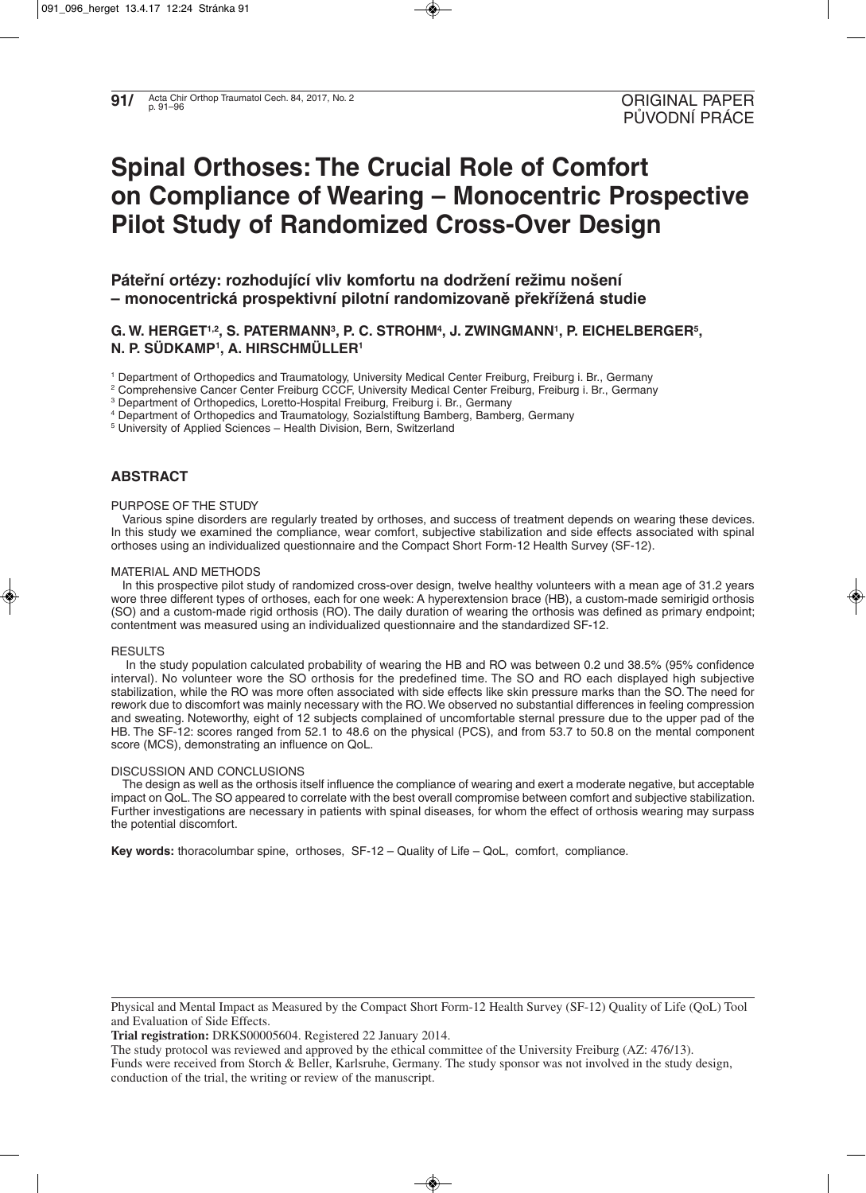# **Spinal Orthoses: The Crucial Role of Comfort on Compliance of Wearing – Monocentric Prospective Pilot Study of Randomized Cross-Over Design**

**Páteřní ortézy: rozhodující vliv komfortu na dodržení režimu nošení – monocentrická prospektivní pilotní randomizovaně překřížená studie**

# **G. W. HERGET1,2, S. PATERMANN3, P. C. STROHM4, J. ZWINGMANN1, P. EICHELBERGER5, N. P. SÜDKAMP1, A. HIRSCHMÜLLER1**

<sup>1</sup> Department of Orthopedics and Traumatology, University Medical Center Freiburg, Freiburg i. Br., Germany

- <sup>2</sup> Comprehensive Cancer Center Freiburg CCCF, University Medical Center Freiburg, Freiburg i. Br., Germany
- <sup>3</sup> Department of Orthopedics, Loretto-Hospital Freiburg, Freiburg i. Br., Germany
- <sup>4</sup> Department of Orthopedics and Traumatology, Sozialstiftung Bamberg, Bamberg, Germany

<sup>5</sup> University of Applied Sciences – Health Division, Bern, Switzerland

## **ABSTRACT**

## PURPOSE OF THE STUDY

Various spine disorders are regularly treated by orthoses, and success of treatment depends on wearing these devices. In this study we examined the compliance, wear comfort, subjective stabilization and side effects associated with spinal orthoses using an individualized questionnaire and the Compact Short Form-12 Health Survey (SF-12).

## MATERIAL AND METHODS

In this prospective pilot study of randomized cross-over design, twelve healthy volunteers with a mean age of 31.2 years wore three different types of orthoses, each for one week: A hyperextension brace (HB), a custom-made semirigid orthosis (SO) and a custom-made rigid orthosis (RO). The daily duration of wearing the orthosis was defined as primary endpoint; contentment was measured using an individualized questionnaire and the standardized SF-12.

## **RESULTS**

In the study population calculated probability of wearing the HB and RO was between 0.2 und 38.5% (95% confidence interval). No volunteer wore the SO orthosis for the predefined time. The SO and RO each displayed high subjective stabilization, while the RO was more often associated with side effects like skin pressure marks than the SO. The need for rework due to discomfort was mainly necessary with the RO. We observed no substantial differences in feeling compression and sweating. Noteworthy, eight of 12 subjects complained of uncomfortable sternal pressure due to the upper pad of the HB. The SF-12: scores ranged from 52.1 to 48.6 on the physical (PCS), and from 53.7 to 50.8 on the mental component score (MCS), demonstrating an influence on QoL.

## DISCUSSION AND CONCLUSIONS

The design as well as the orthosis itself influence the compliance of wearing and exert a moderate negative, but acceptable impact on QoL. The SO appeared to correlate with the best overall compromise between comfort and subjective stabilization. Further investigations are necessary in patients with spinal diseases, for whom the effect of orthosis wearing may surpass the potential discomfort.

**Key words:** thoracolumbar spine, orthoses, SF-12 – Quality of Life – QoL, comfort, compliance.

**Trial registration:** DRKS00005604. Registered 22 January 2014.

Physical and Mental Impact as Measured by the Compact Short Form-12 Health Survey (SF-12) Quality of Life (QoL) Tool and Evaluation of Side Effects.

The study protocol was reviewed and approved by the ethical committee of the University Freiburg (AZ: 476/13).

Funds were received from Storch & Beller, Karlsruhe, Germany. The study sponsor was not involved in the study design, conduction of the trial, the writing or review of the manuscript.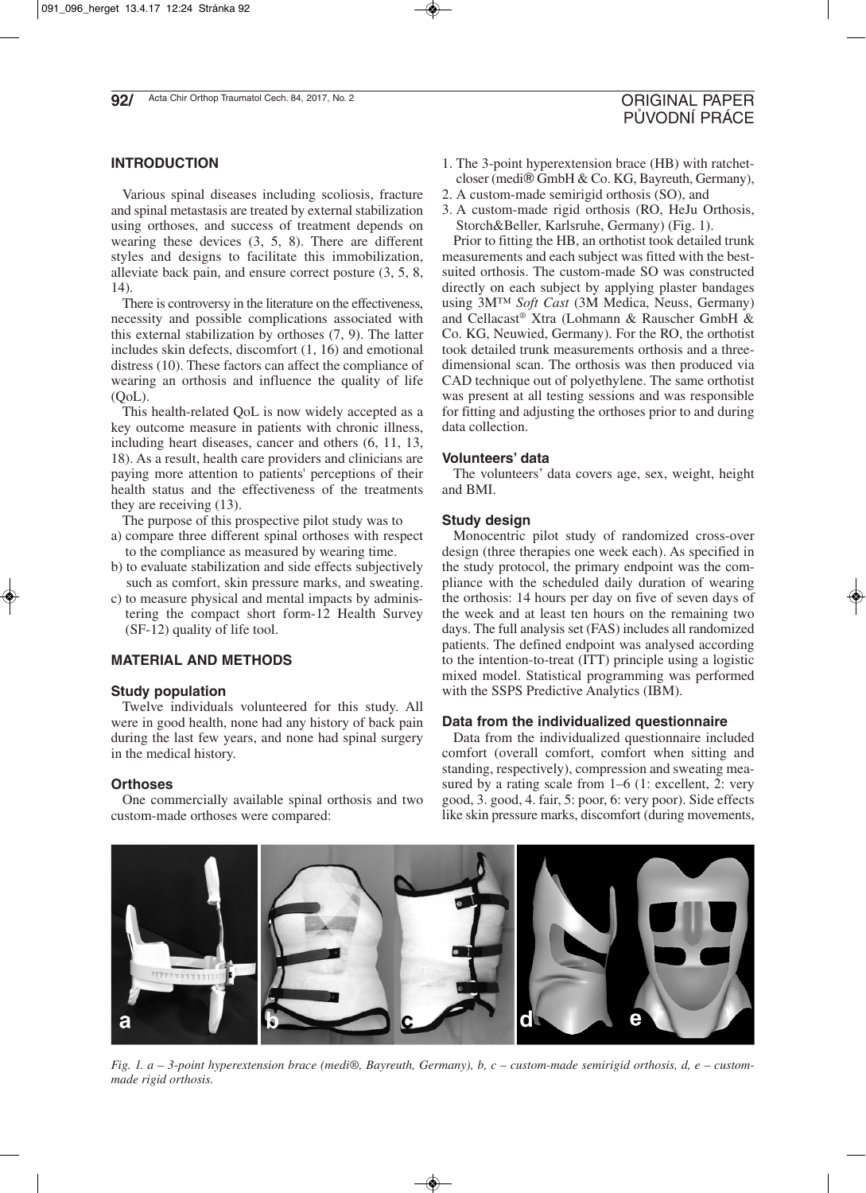# **INTRODUCTION**

Various spinal diseases including scoliosis, fracture and spinal metastasis are treated by external stabilization using orthoses, and success of treatment depends on wearing these devices (3, 5, 8). There are different styles and designs to facilitate this immobilization, alleviate back pain, and ensure correct posture (3, 5, 8, 14).

There is controversy in the literature on the effectiveness, necessity and possible complications associated with this external stabilization by orthoses (7, 9). The latter includes skin defects, discomfort (1, 16) and emotional distress (10). These factors can affect the compliance of wearing an orthosis and influence the quality of life  $(OoL)$ .

This health-related QoL is now widely accepted as a key outcome measure in patients with chronic illness, including heart diseases, cancer and others (6, 11, 13, 18). As a result, health care providers and clinicians are paying more attention to patients' perceptions of their health status and the effectiveness of the treatments they are receiving (13).

The purpose of this prospective pilot study was to

- a) compare three different spinal orthoses with respect to the compliance as measured by wearing time.
- b) to evaluate stabilization and side effects subjectively such as comfort, skin pressure marks, and sweating.
- c) to measure physical and mental impacts by administering the compact short form-12 Health Survey (SF-12) quality of life tool.

## **MATERIAL AND METHODS**

## **Study population**

Twelve individuals volunteered for this study. All were in good health, none had any history of back pain during the last few years, and none had spinal surgery in the medical history.

## **Orthoses**

One commercially available spinal orthosis and two custom-made orthoses were compared:

- 1. The 3-point hyperextension brace (HB) with ratchetcloser (medi® GmbH & Co. KG, Bayreuth, Germany),
- 2. A custom-made semirigid orthosis (SO), and
- 3. A custom-made rigid orthosis (RO, HeJu Orthosis, Storch&Beller, Karlsruhe, Germany) (Fig. 1).

Prior to fitting the HB, an orthotist took detailed trunk measurements and each subject was fitted with the bestsuited orthosis. The custom-made SO was constructed directly on each subject by applying plaster bandages using 3M™ *Soft Cast* (3M Medica, Neuss, Germany) and Cellacast® Xtra (Lohmann & Rauscher GmbH & Co. KG, Neuwied, Germany). For the RO, the orthotist took detailed trunk measurements orthosis and a threedimensional scan. The orthosis was then produced via CAD technique out of polyethylene. The same orthotist was present at all testing sessions and was responsible for fitting and adjusting the orthoses prior to and during data collection.

#### **Volunteers' data**

The volunteers' data covers age, sex, weight, height and BMI.

#### **Study design**

Monocentric pilot study of randomized cross-over design (three therapies one week each). As specified in the study protocol, the primary endpoint was the compliance with the scheduled daily duration of wearing the orthosis: 14 hours per day on five of seven days of the week and at least ten hours on the remaining two days. The full analysis set (FAS) includes all randomized patients. The defined endpoint was analysed according to the intention-to-treat (ITT) principle using a logistic mixed model. Statistical programming was performed with the SSPS Predictive Analytics (IBM).

## **Data from the individualized questionnaire**

Data from the individualized questionnaire included comfort (overall comfort, comfort when sitting and standing, respectively), compression and sweating measured by a rating scale from 1–6 (1: excellent, 2: very good, 3. good, 4. fair, 5: poor, 6: very poor). Side effects like skin pressure marks, discomfort (during movements,



*Fig. 1. a – 3-point hyperextension brace (medi®, Bayreuth, Germany), b, c – custom-made semirigid orthosis, d, e – custommade rigid orthosis.*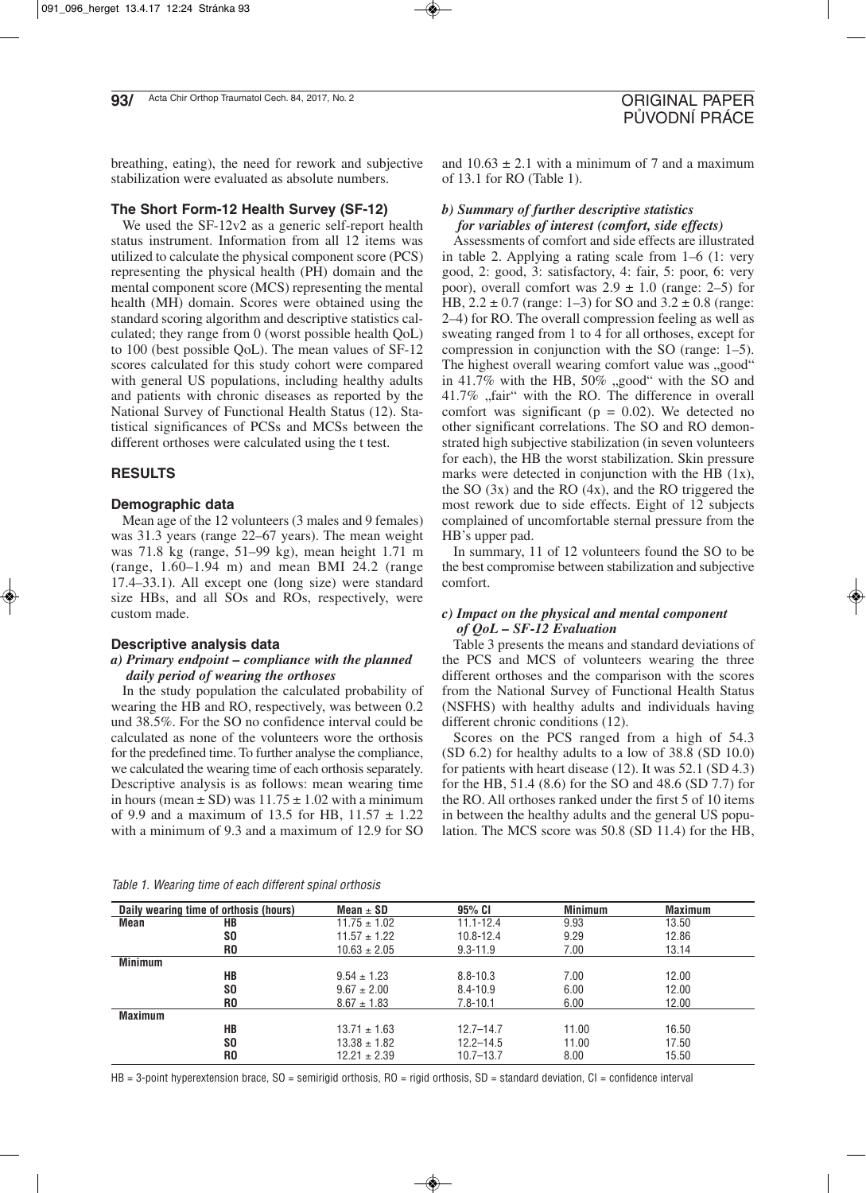breathing, eating), the need for rework and subjective stabilization were evaluated as absolute numbers.

## **The Short Form-12 Health Survey (SF-12)**

We used the SF-12v2 as a generic self-report health status instrument. Information from all 12 items was utilized to calculate the physical component score (PCS) representing the physical health (PH) domain and the mental component score (MCS) representing the mental health (MH) domain. Scores were obtained using the standard scoring algorithm and descriptive statistics calculated; they range from 0 (worst possible health QoL) to 100 (best possible QoL). The mean values of SF-12 scores calculated for this study cohort were compared with general US populations, including healthy adults and patients with chronic diseases as reported by the National Survey of Functional Health Status (12). Statistical significances of PCSs and MCSs between the different orthoses were calculated using the t test.

## **RESULTS**

## **Demographic data**

Mean age of the 12 volunteers (3 males and 9 females) was 31.3 years (range 22–67 years). The mean weight was 71.8 kg (range, 51–99 kg), mean height 1.71 m (range, 1.60–1.94 m) and mean BMI 24.2 (range 17.4–33.1). All except one (long size) were standard size HBs, and all SOs and ROs, respectively, were custom made.

## **Descriptive analysis data**

## *a) Primary endpoint – compliance with the planned daily period of wearing the orthoses*

In the study population the calculated probability of wearing the HB and RO, respectively, was between 0.2 und 38.5%. For the SO no confidence interval could be calculated as none of the volunteers wore the orthosis for the predefined time. To further analyse the compliance, we calculated the wearing time of each orthosis separately. Descriptive analysis is as follows: mean wearing time in hours (mean  $\pm$  SD) was 11.75  $\pm$  1.02 with a minimum of 9.9 and a maximum of 13.5 for HB,  $11.57 \pm 1.22$ with a minimum of 9.3 and a maximum of 12.9 for SO

and  $10.63 \pm 2.1$  with a minimum of 7 and a maximum of 13.1 for RO (Table 1).

# *b) Summary of further descriptive statistics for variables of interest (comfort, side effects)*

Assessments of comfort and side effects are illustrated in table 2. Applying a rating scale from 1–6 (1: very good, 2: good, 3: satisfactory, 4: fair, 5: poor, 6: very poor), overall comfort was  $2.9 \pm 1.0$  (range: 2–5) for HB,  $2.2 \pm 0.7$  (range: 1–3) for SO and  $3.2 \pm 0.8$  (range: 2–4) for RO. The overall compression feeling as well as sweating ranged from 1 to 4 for all orthoses, except for compression in conjunction with the SO (range: 1–5). The highest overall wearing comfort value was "good" in  $41.7\%$  with the HB,  $50\%$  "good" with the SO and 41.7% "fair" with the RO. The difference in overall comfort was significant ( $p = 0.02$ ). We detected no other significant correlations. The SO and RO demonstrated high subjective stabilization (in seven volunteers for each), the HB the worst stabilization. Skin pressure marks were detected in conjunction with the HB (1x), the SO (3x) and the RO (4x), and the RO triggered the most rework due to side effects. Eight of 12 subjects complained of uncomfortable sternal pressure from the HB's upper pad.

In summary, 11 of 12 volunteers found the SO to be the best compromise between stabilization and subjective comfort.

## *c) Impact on the physical and mental component of QoL – SF-12 Evaluation*

Table 3 presents the means and standard deviations of the PCS and MCS of volunteers wearing the three different orthoses and the comparison with the scores from the National Survey of Functional Health Status (NSFHS) with healthy adults and individuals having different chronic conditions (12).

Scores on the PCS ranged from a high of 54.3 (SD 6.2) for healthy adults to a low of 38.8 (SD 10.0) for patients with heart disease (12). It was 52.1 (SD 4.3) for the HB, 51.4 (8.6) for the SO and 48.6 (SD 7.7) for the RO. All orthoses ranked under the first 5 of 10 items in between the healthy adults and the general US population. The MCS score was 50.8 (SD 11.4) for the HB,

|  | Table 1. Wearing time of each different spinal orthosis |  |
|--|---------------------------------------------------------|--|
|--|---------------------------------------------------------|--|

|                | Daily wearing time of orthosis (hours) | Mean $\pm$ SD    | 95% CI        | <b>Minimum</b> | <b>Maximum</b> |  |
|----------------|----------------------------------------|------------------|---------------|----------------|----------------|--|
| Mean           | НB                                     | $11.75 \pm 1.02$ | $11.1 - 12.4$ | 9.93           | 13.50          |  |
|                | <b>SO</b>                              | $11.57 \pm 1.22$ | $10.8 - 12.4$ | 9.29           | 12.86          |  |
|                | R0                                     | $10.63 \pm 2.05$ | $9.3 - 11.9$  | 7.00           | 13.14          |  |
| <b>Minimum</b> |                                        |                  |               |                |                |  |
|                | HB                                     | $9.54 \pm 1.23$  | $8.8 - 10.3$  | 7.00           | 12.00          |  |
|                | SO.                                    | $9.67 \pm 2.00$  | $8.4 - 10.9$  | 6.00           | 12.00          |  |
|                | R <sub>0</sub>                         | $8.67 \pm 1.83$  | $7.8 - 10.1$  | 6.00           | 12.00          |  |
| <b>Maximum</b> |                                        |                  |               |                |                |  |
|                | HB                                     | $13.71 \pm 1.63$ | $12.7 - 14.7$ | 11.00          | 16.50          |  |
|                | <b>SO</b>                              | $13.38 \pm 1.82$ | $12.2 - 14.5$ | 11.00          | 17.50          |  |
|                | R <sub>0</sub>                         | $12.21 \pm 2.39$ | $10.7 - 13.7$ | 8.00           | 15.50          |  |

 $HB = 3$ -point hyperextension brace, SO = semirigid orthosis, RO = rigid orthosis, SD = standard deviation, CI = confidence interval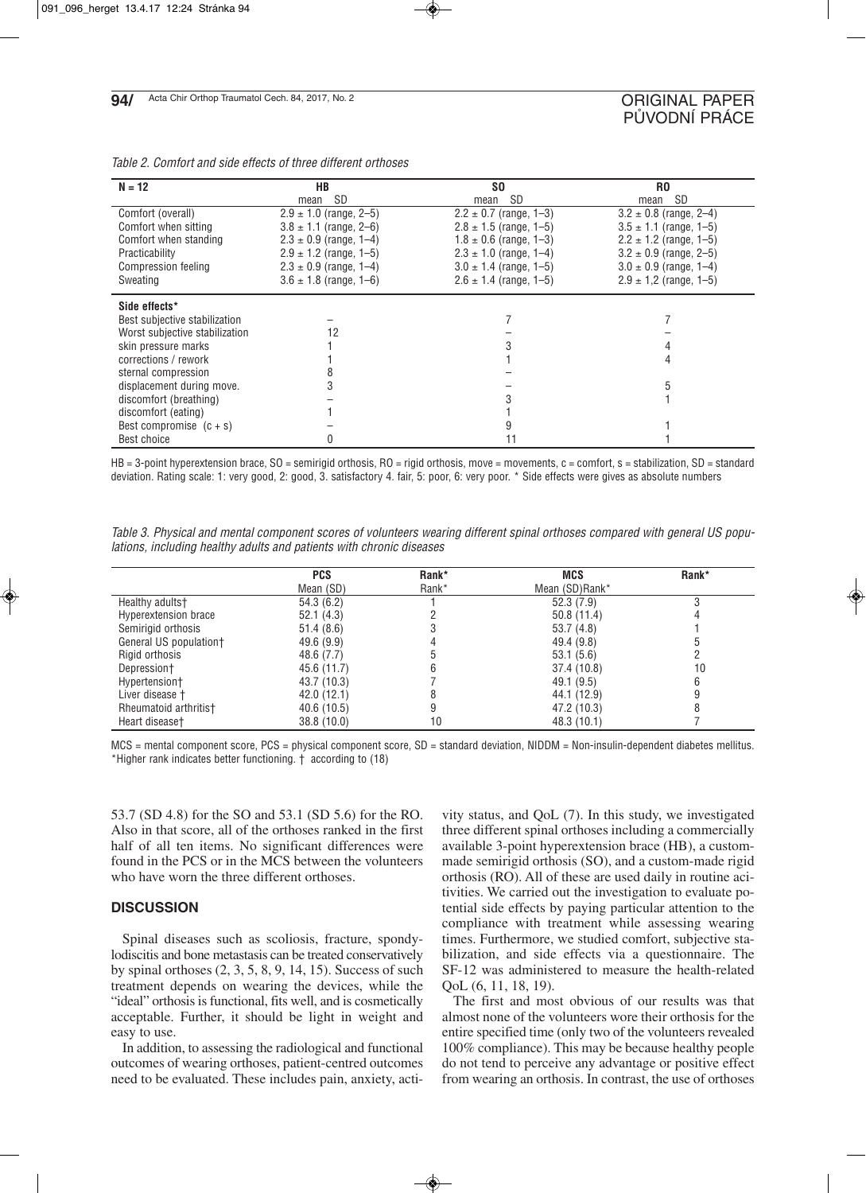| $N = 12$                       | HB                         | S <sub>0</sub>             | R0                         |
|--------------------------------|----------------------------|----------------------------|----------------------------|
|                                | <b>SD</b><br>mean          | SD<br>mean                 | <b>SD</b><br>mean          |
| Comfort (overall)              | $2.9 \pm 1.0$ (range, 2-5) | $2.2 \pm 0.7$ (range, 1-3) | $3.2 \pm 0.8$ (range, 2–4) |
| Comfort when sitting           | $3.8 \pm 1.1$ (range, 2-6) | $2.8 \pm 1.5$ (range, 1-5) | $3.5 \pm 1.1$ (range, 1-5) |
| Comfort when standing          | $2.3 \pm 0.9$ (range, 1–4) | $1.8 \pm 0.6$ (range, 1-3) | $2.2 \pm 1.2$ (range, 1–5) |
| Practicability                 | $2.9 \pm 1.2$ (range, 1-5) | $2.3 \pm 1.0$ (range, 1–4) | $3.2 \pm 0.9$ (range, 2-5) |
| Compression feeling            | $2.3 \pm 0.9$ (range, 1–4) | $3.0 \pm 1.4$ (range, 1-5) | $3.0 \pm 0.9$ (range, 1–4) |
| Sweating                       | $3.6 \pm 1.8$ (range, 1–6) | $2.6 \pm 1.4$ (range, 1–5) | $2.9 \pm 1.2$ (range, 1-5) |
| Side effects*                  |                            |                            |                            |
| Best subjective stabilization  |                            |                            |                            |
| Worst subjective stabilization | 12                         |                            |                            |
| skin pressure marks            |                            |                            |                            |
| corrections / rework           |                            |                            |                            |
| sternal compression            |                            |                            |                            |
| displacement during move.      |                            |                            |                            |
| discomfort (breathing)         |                            |                            |                            |
| discomfort (eating)            |                            |                            |                            |
| Best compromise $(c + s)$      |                            |                            |                            |
| Best choice                    |                            |                            |                            |

HB = 3-point hyperextension brace, SO = semirigid orthosis, RO = rigid orthosis, move = movements, c = comfort, s = stabilization, SD = standard deviation. Rating scale: 1: very good, 2: good, 3. satisfactory 4. fair, 5: poor, 6: very poor. \* Side effects were gives as absolute numbers

Table 3. Physical and mental component scores of volunteers wearing different spinal orthoses compared with general US populations, including healthy adults and patients with chronic diseases

|                        | <b>PCS</b>  | Rank* | <b>MCS</b>     | Rank* |
|------------------------|-------------|-------|----------------|-------|
|                        | Mean (SD)   | Rank* | Mean (SD)Rank* |       |
| Healthy adults†        | 54.3(6.2)   |       | 52.3(7.9)      |       |
| Hyperextension brace   | 52.1(4.3)   |       | 50.8(11.4)     |       |
| Semirigid orthosis     | 51.4(8.6)   |       | 53.7(4.8)      |       |
| General US population† | 49.6(9.9)   |       | 49.4 (9.8)     |       |
| Rigid orthosis         | 48.6 (7.7)  |       | 53.1(5.6)      |       |
| Depression+            | 45.6 (11.7) |       | 37.4 (10.8)    | 10    |
| Hypertension†          | 43.7 (10.3) |       | 49.1 (9.5)     |       |
| Liver disease †        | 42.0(12.1)  |       | 44.1 (12.9)    |       |
| Rheumatoid arthritis†  | 40.6 (10.5) |       | 47.2 (10.3)    |       |
| Heart disease†         | 38.8(10.0)  | 10    | 48.3 (10.1)    |       |

MCS = mental component score, PCS = physical component score, SD = standard deviation, NIDDM = Non-insulin-dependent diabetes mellitus. \*Higher rank indicates better functioning. † according to (18)

53.7 (SD 4.8) for the SO and 53.1 (SD 5.6) for the RO. Also in that score, all of the orthoses ranked in the first half of all ten items. No significant differences were found in the PCS or in the MCS between the volunteers who have worn the three different orthoses.

## **DISCUSSION**

Spinal diseases such as scoliosis, fracture, spondylodiscitis and bone metastasis can be treated conservatively by spinal orthoses (2, 3, 5, 8, 9, 14, 15). Success of such treatment depends on wearing the devices, while the "ideal" orthosis is functional, fits well, and is cosmetically acceptable. Further, it should be light in weight and easy to use.

In addition, to assessing the radiological and functional outcomes of wearing orthoses, patient-centred outcomes need to be evaluated. These includes pain, anxiety, activity status, and QoL (7). In this study, we investigated three different spinal orthoses including a commercially available 3-point hyperextension brace (HB), a custommade semirigid orthosis (SO), and a custom-made rigid orthosis (RO). All of these are used daily in routine acitivities. We carried out the investigation to evaluate potential side effects by paying particular attention to the compliance with treatment while assessing wearing times. Furthermore, we studied comfort, subjective stabilization, and side effects via a questionnaire. The SF-12 was administered to measure the health-related QoL (6, 11, 18, 19).

The first and most obvious of our results was that almost none of the volunteers wore their orthosis for the entire specified time (only two of the volunteers revealed 100% compliance). This may be because healthy people do not tend to perceive any advantage or positive effect from wearing an orthosis. In contrast, the use of orthoses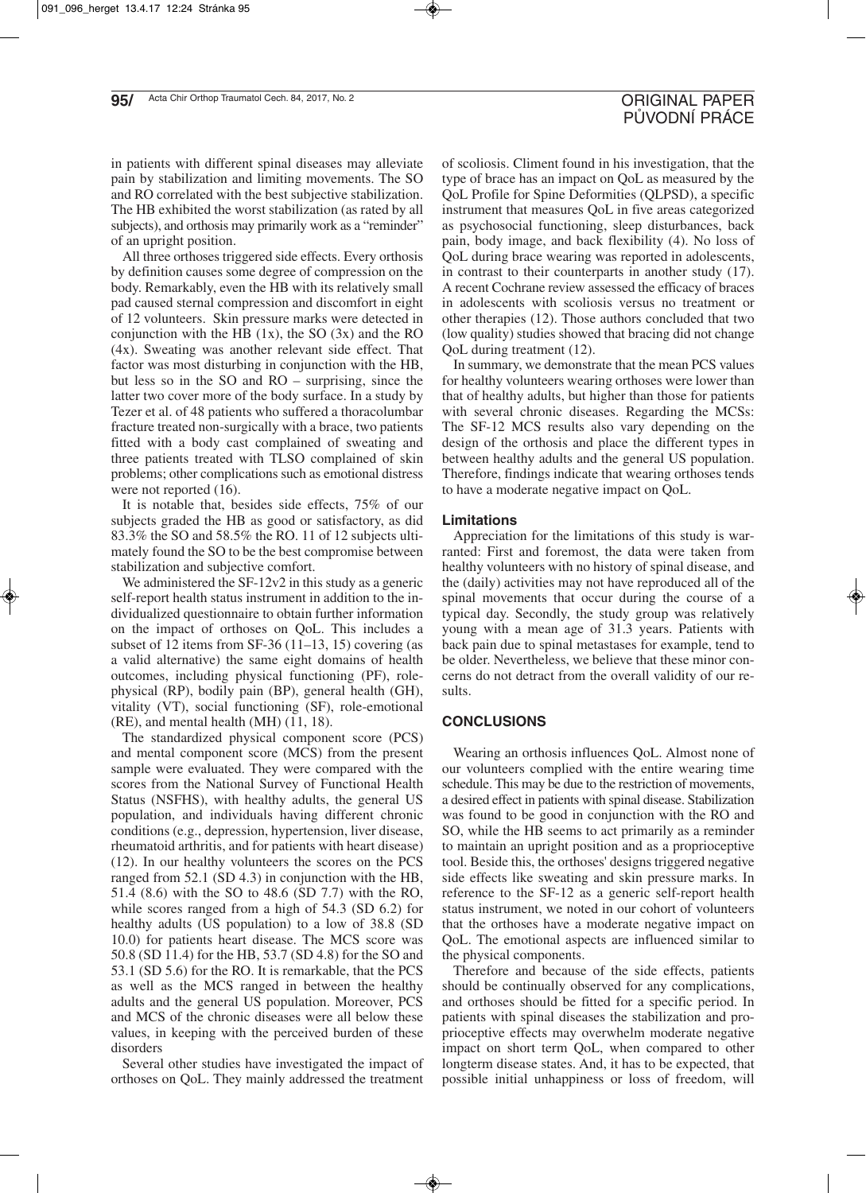in patients with different spinal diseases may alleviate pain by stabilization and limiting movements. The SO and RO correlated with the best subjective stabilization. The HB exhibited the worst stabilization (as rated by all subjects), and orthosis may primarily work as a "reminder" of an upright position.

All three orthoses triggered side effects. Every orthosis by definition causes some degree of compression on the body. Remarkably, even the HB with its relatively small pad caused sternal compression and discomfort in eight of 12 volunteers. Skin pressure marks were detected in conjunction with the HB  $(1x)$ , the SO  $(3x)$  and the RO (4x). Sweating was another relevant side effect. That factor was most disturbing in conjunction with the HB, but less so in the SO and RO – surprising, since the latter two cover more of the body surface. In a study by Tezer et al. of 48 patients who suffered a thoracolumbar fracture treated non-surgically with a brace, two patients fitted with a body cast complained of sweating and three patients treated with TLSO complained of skin problems; other complications such as emotional distress were not reported  $(16)$ .

It is notable that, besides side effects, 75% of our subjects graded the HB as good or satisfactory, as did 83.3% the SO and 58.5% the RO. 11 of 12 subjects ultimately found the SO to be the best compromise between stabilization and subjective comfort.

We administered the SF-12v2 in this study as a generic self-report health status instrument in addition to the individualized questionnaire to obtain further information on the impact of orthoses on QoL. This includes a subset of 12 items from SF-36 (11–13, 15) covering (as a valid alternative) the same eight domains of health outcomes, including physical functioning (PF), rolephysical (RP), bodily pain (BP), general health (GH), vitality (VT), social functioning (SF), role-emotional (RE), and mental health (MH) (11, 18).

The standardized physical component score (PCS) and mental component score (MCS) from the present sample were evaluated. They were compared with the scores from the National Survey of Functional Health Status (NSFHS), with healthy adults, the general US population, and individuals having different chronic conditions (e.g., depression, hypertension, liver disease, rheumatoid arthritis, and for patients with heart disease) (12). In our healthy volunteers the scores on the PCS ranged from 52.1 (SD 4.3) in conjunction with the HB, 51.4 (8.6) with the SO to 48.6 (SD 7.7) with the RO, while scores ranged from a high of 54.3 (SD 6.2) for healthy adults (US population) to a low of 38.8 (SD 10.0) for patients heart disease. The MCS score was 50.8 (SD 11.4) for the HB, 53.7 (SD 4.8) for the SO and 53.1 (SD 5.6) for the RO. It is remarkable, that the PCS as well as the MCS ranged in between the healthy adults and the general US population. Moreover, PCS and MCS of the chronic diseases were all below these values, in keeping with the perceived burden of these disorders

Several other studies have investigated the impact of orthoses on QoL. They mainly addressed the treatment

of scoliosis. Climent found in his investigation, that the type of brace has an impact on QoL as measured by the QoL Profile for Spine Deformities (QLPSD), a specific instrument that measures QoL in five areas categorized as psychosocial functioning, sleep disturbances, back pain, body image, and back flexibility (4). No loss of QoL during brace wearing was reported in adolescents, in contrast to their counterparts in another study (17). A recent Cochrane review assessed the efficacy of braces in adolescents with scoliosis versus no treatment or other therapies (12). Those authors concluded that two (low quality) studies showed that bracing did not change QoL during treatment (12).

In summary, we demonstrate that the mean PCS values for healthy volunteers wearing orthoses were lower than that of healthy adults, but higher than those for patients with several chronic diseases. Regarding the MCSs: The SF-12 MCS results also vary depending on the design of the orthosis and place the different types in between healthy adults and the general US population. Therefore, findings indicate that wearing orthoses tends to have a moderate negative impact on QoL.

## **Limitations**

Appreciation for the limitations of this study is warranted: First and foremost, the data were taken from healthy volunteers with no history of spinal disease, and the (daily) activities may not have reproduced all of the spinal movements that occur during the course of a typical day. Secondly, the study group was relatively young with a mean age of 31.3 years. Patients with back pain due to spinal metastases for example, tend to be older. Nevertheless, we believe that these minor concerns do not detract from the overall validity of our results.

## **CONCLUSIONS**

Wearing an orthosis influences QoL. Almost none of our volunteers complied with the entire wearing time schedule. This may be due to the restriction of movements, a desired effect in patients with spinal disease. Stabilization was found to be good in conjunction with the RO and SO, while the HB seems to act primarily as a reminder to maintain an upright position and as a proprioceptive tool. Beside this, the orthoses' designs triggered negative side effects like sweating and skin pressure marks. In reference to the SF-12 as a generic self-report health status instrument, we noted in our cohort of volunteers that the orthoses have a moderate negative impact on QoL. The emotional aspects are influenced similar to the physical components.

Therefore and because of the side effects, patients should be continually observed for any complications, and orthoses should be fitted for a specific period. In patients with spinal diseases the stabilization and proprioceptive effects may overwhelm moderate negative impact on short term QoL, when compared to other longterm disease states. And, it has to be expected, that possible initial unhappiness or loss of freedom, will